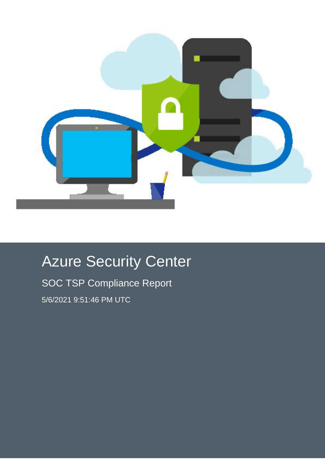

# Azure Security Center

SOC TSP Compliance Report 5/6/2021 9:51:46 PM UTC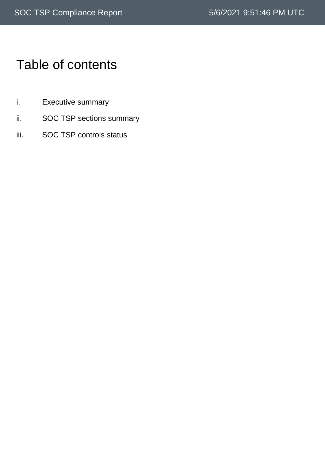# Table of contents

- i. Executive summary
- ii. SOC TSP sections summary
- iii. SOC TSP controls status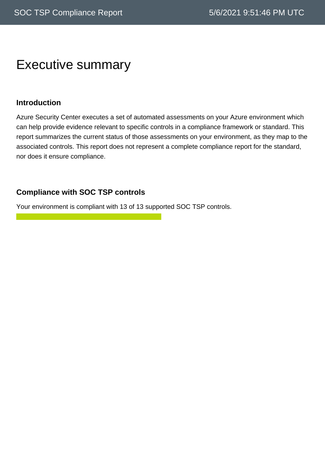### Executive summary

#### **Introduction**

Azure Security Center executes a set of automated assessments on your Azure environment which can help provide evidence relevant to specific controls in a compliance framework or standard. This report summarizes the current status of those assessments on your environment, as they map to the associated controls. This report does not represent a complete compliance report for the standard, nor does it ensure compliance.

### **Compliance with SOC TSP controls**

Your environment is compliant with 13 of 13 supported SOC TSP controls.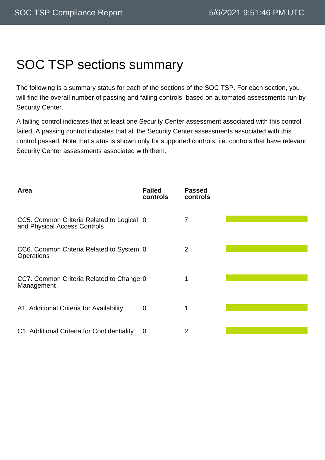# SOC TSP sections summary

The following is a summary status for each of the sections of the SOC TSP. For each section, you will find the overall number of passing and failing controls, based on automated assessments run by Security Center.

A failing control indicates that at least one Security Center assessment associated with this control failed. A passing control indicates that all the Security Center assessments associated with this control passed. Note that status is shown only for supported controls, i.e. controls that have relevant Security Center assessments associated with them.

| Area                                                                      | <b>Failed</b><br>controls | <b>Passed</b><br>controls |  |
|---------------------------------------------------------------------------|---------------------------|---------------------------|--|
| CC5. Common Criteria Related to Logical 0<br>and Physical Access Controls |                           | 7                         |  |
| CC6. Common Criteria Related to System 0<br><b>Operations</b>             |                           | 2                         |  |
| CC7. Common Criteria Related to Change 0<br>Management                    |                           | 1                         |  |
| A1. Additional Criteria for Availability                                  | $\mathbf 0$               |                           |  |
| C1. Additional Criteria for Confidentiality                               | 0                         | 2                         |  |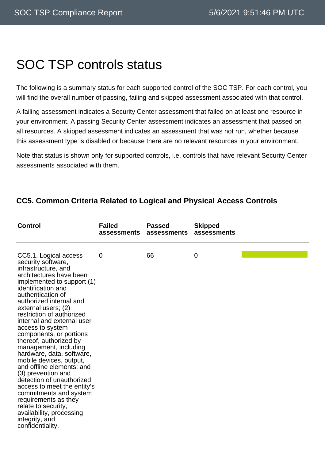### SOC TSP controls status

The following is a summary status for each supported control of the SOC TSP. For each control, you will find the overall number of passing, failing and skipped assessment associated with that control.

A failing assessment indicates a Security Center assessment that failed on at least one resource in your environment. A passing Security Center assessment indicates an assessment that passed on all resources. A skipped assessment indicates an assessment that was not run, whether because this assessment type is disabled or because there are no relevant resources in your environment.

Note that status is shown only for supported controls, i.e. controls that have relevant Security Center assessments associated with them.

| <b>Control</b>                                                                                                                                                                                                                                                                                                                                                                                                                                                                                                                                                                                                                                                                                          | <b>Failed</b><br>assessments | <b>Passed</b><br>assessments | <b>Skipped</b><br>assessments |  |
|---------------------------------------------------------------------------------------------------------------------------------------------------------------------------------------------------------------------------------------------------------------------------------------------------------------------------------------------------------------------------------------------------------------------------------------------------------------------------------------------------------------------------------------------------------------------------------------------------------------------------------------------------------------------------------------------------------|------------------------------|------------------------------|-------------------------------|--|
| CC5.1. Logical access<br>security software,<br>infrastructure, and<br>architectures have been<br>implemented to support (1)<br>identification and<br>authentication of<br>authorized internal and<br>external users; (2)<br>restriction of authorized<br>internal and external user<br>access to system<br>components, or portions<br>thereof, authorized by<br>management, including<br>hardware, data, software,<br>mobile devices, output,<br>and offline elements; and<br>(3) prevention and<br>detection of unauthorized<br>access to meet the entity's<br>commitments and system<br>requirements as they<br>relate to security,<br>availability, processing<br>integrity, and<br>confidentiality. | $\overline{0}$               | 66                           | 0                             |  |

### **CC5. Common Criteria Related to Logical and Physical Access Controls**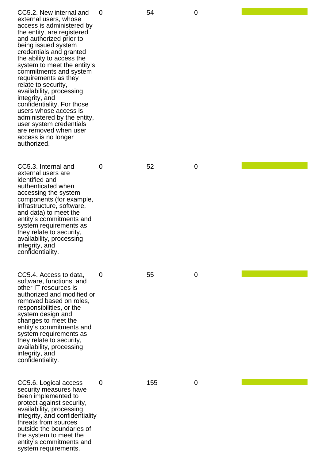| CC5.2. New internal and<br>external users, whose<br>access is administered by<br>the entity, are registered<br>and authorized prior to<br>being issued system<br>credentials and granted<br>the ability to access the<br>system to meet the entity's<br>commitments and system<br>requirements as they<br>relate to security,<br>availability, processing<br>integrity, and<br>confidentiality. For those<br>users whose access is<br>administered by the entity,<br>user system credentials<br>are removed when user<br>access is no longer<br>authorized. | 0 | 54  | 0           |  |
|-------------------------------------------------------------------------------------------------------------------------------------------------------------------------------------------------------------------------------------------------------------------------------------------------------------------------------------------------------------------------------------------------------------------------------------------------------------------------------------------------------------------------------------------------------------|---|-----|-------------|--|
| CC5.3. Internal and<br>external users are<br>identified and<br>authenticated when<br>accessing the system<br>components (for example,<br>infrastructure, software,<br>and data) to meet the<br>entity's commitments and<br>system requirements as<br>they relate to security,<br>availability, processing<br>integrity, and<br>confidentiality.                                                                                                                                                                                                             | 0 | 52  | $\mathbf 0$ |  |
| CC5.4. Access to data,<br>software, functions, and<br>other IT resources is<br>authorized and modified or<br>removed based on roles,<br>responsibilities, or the<br>system design and<br>changes to meet the<br>entity's commitments and<br>system requirements as<br>they relate to security,<br>availability, processing<br>integrity, and<br>confidentiality.                                                                                                                                                                                            | 0 | 55  | $\mathbf 0$ |  |
| CC5.6. Logical access<br>security measures have<br>been implemented to<br>protect against security,<br>availability, processing<br>integrity, and confidentiality<br>threats from sources<br>outside the boundaries of<br>the system to meet the<br>entity's commitments and<br>system requirements.                                                                                                                                                                                                                                                        | 0 | 155 | $\mathbf 0$ |  |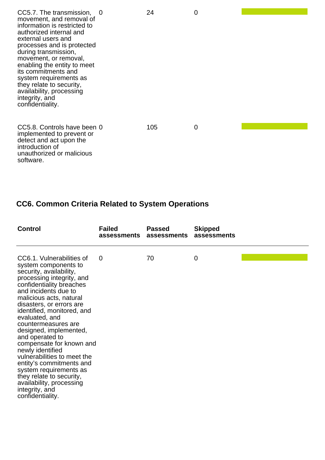| CC5.7. The transmission, 0<br>movement, and removal of<br>information is restricted to<br>authorized internal and<br>external users and<br>processes and is protected<br>during transmission,<br>movement, or removal,<br>enabling the entity to meet<br>its commitments and<br>system requirements as<br>they relate to security,<br>availability, processing<br>integrity, and<br>confidentiality. | 24  | 0 |  |
|------------------------------------------------------------------------------------------------------------------------------------------------------------------------------------------------------------------------------------------------------------------------------------------------------------------------------------------------------------------------------------------------------|-----|---|--|
| CC5.8. Controls have been 0<br>implemented to prevent or<br>detect and act upon the<br>introduction of<br>unauthorized or malicious<br>software.                                                                                                                                                                                                                                                     | 105 | 0 |  |

### **CC6. Common Criteria Related to System Operations**

| <b>Control</b>                                                                                                                                                                                                                                                                                                                                                                                                                                                                                                                                                              | <b>Failed</b><br>assessments | <b>Passed</b><br>assessments | <b>Skipped</b><br>assessments |  |
|-----------------------------------------------------------------------------------------------------------------------------------------------------------------------------------------------------------------------------------------------------------------------------------------------------------------------------------------------------------------------------------------------------------------------------------------------------------------------------------------------------------------------------------------------------------------------------|------------------------------|------------------------------|-------------------------------|--|
| CC6.1. Vulnerabilities of<br>system components to<br>security, availability,<br>processing integrity, and<br>confidentiality breaches<br>and incidents due to<br>malicious acts, natural<br>disasters, or errors are<br>identified, monitored, and<br>evaluated, and<br>countermeasures are<br>designed, implemented,<br>and operated to<br>compensate for known and<br>newly identified<br>vulnerabilities to meet the<br>entity's commitments and<br>system requirements as<br>they relate to security,<br>availability, processing<br>integrity, and<br>confidentiality. | 0                            | 70                           | $\overline{0}$                |  |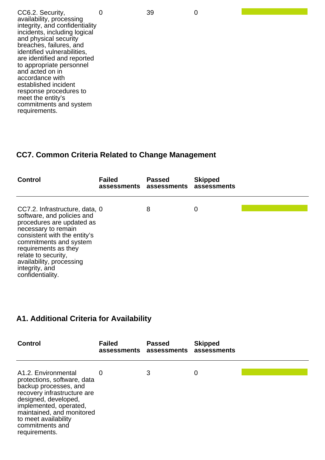0 39 0

CC6.2. Security, availability, processing integrity, and confidentiality incidents, including logical and physical security breaches, failures, and identified vulnerabilities, are identified and reported to appropriate personnel and acted on in accordance with established incident response procedures to meet the entity's commitments and system requirements.

#### **CC7. Common Criteria Related to Change Management**

| <b>Control</b>                                                                                                                                                                                                                                                                              | <b>Failed</b> | <b>Passed</b><br>assessments assessments assessments | <b>Skipped</b> |  |
|---------------------------------------------------------------------------------------------------------------------------------------------------------------------------------------------------------------------------------------------------------------------------------------------|---------------|------------------------------------------------------|----------------|--|
| CC7.2. Infrastructure, data, 0<br>software, and policies and<br>procedures are updated as<br>necessary to remain<br>consistent with the entity's<br>commitments and system<br>requirements as they<br>relate to security,<br>availability, processing<br>integrity, and<br>confidentiality. |               | 8                                                    | 0              |  |

#### **A1. Additional Criteria for Availability**

| <b>Control</b>                                                                                                                                                                                                                                        | <b>Failed</b><br>assessments assessments | <b>Passed</b> | <b>Skipped</b><br>assessments |  |
|-------------------------------------------------------------------------------------------------------------------------------------------------------------------------------------------------------------------------------------------------------|------------------------------------------|---------------|-------------------------------|--|
| A1.2. Environmental<br>protections, software, data<br>backup processes, and<br>recovery infrastructure are<br>designed, developed,<br>implemented, operated,<br>maintained, and monitored<br>to meet availability<br>commitments and<br>requirements. | O                                        | 3             | 0                             |  |